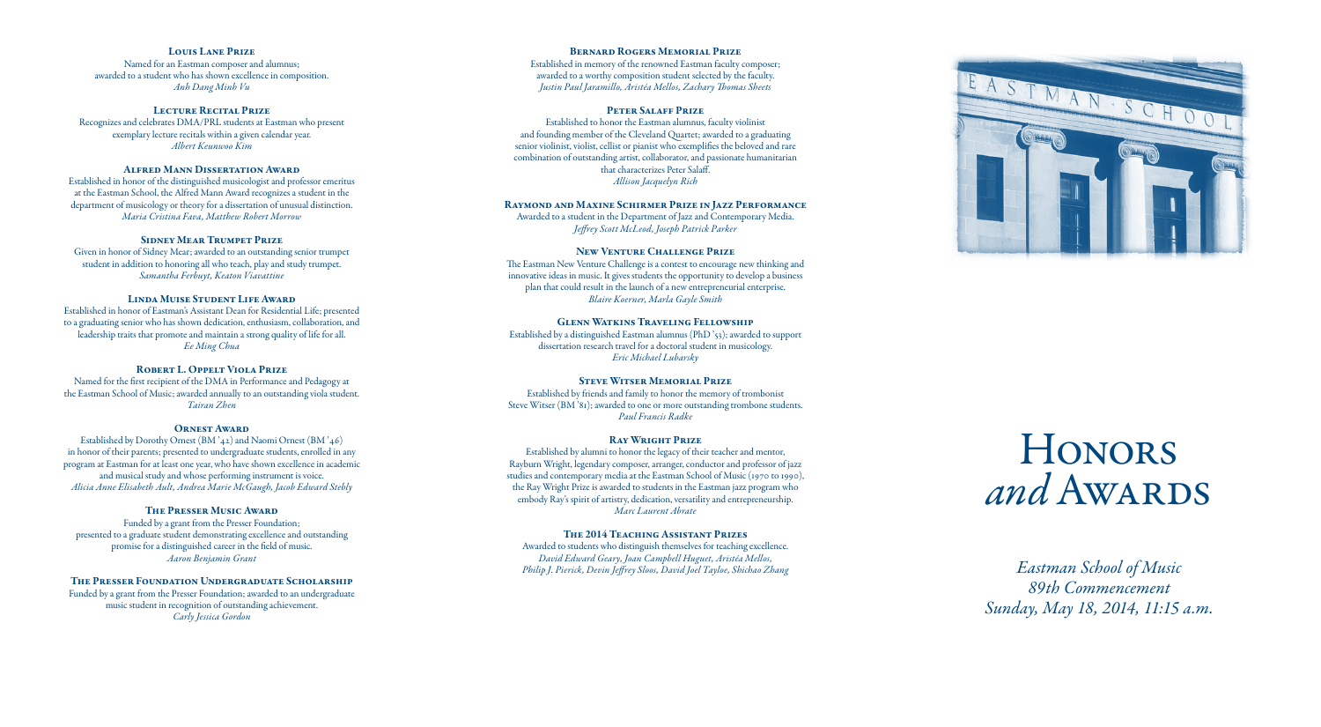*Eastman School of Music 89th Commencement Sunday, May 18, 2014, 11:15 a.m.*

#### Louis Lane Prize

Named for an Eastman composer and alumnus; awarded to a student who has shown excellence in composition. *Anh Dang Minh Vu*

#### LECTURE RECITAL PRIZE

Recognizes and celebrates DMA/PRL students at Eastman who present exemplary lecture recitals within a given calendar year. *Albert Keunwoo Kim*

# Alfred Mann Dissertation Award

Established in honor of the distinguished musicologist and professor emeritus at the Eastman School, the Alfred Mann Award recognizes a student in the department of musicology or theory for a dissertation of unusual distinction. *Maria Cristina Fava, Matthew Robert Morrow* 

#### Sidney Mear Trumpet Prize

Given in honor of Sidney Mear; awarded to an outstanding senior trumpet student in addition to honoring all who teach, play and study trumpet. *Samantha Ferbuyt, Keaton Viavattine*

# Linda Muise Student Life Award

Established in honor of Eastman's Assistant Dean for Residential Life; presented to a graduating senior who has shown dedication, enthusiasm, collaboration, and leadership traits that promote and maintain a strong quality of life for all. *Ee Ming Chua*

#### ROBERT L. OPPELT VIOLA PRIZE

Named for the first recipient of the DMA in Performance and Pedagogy at the Eastman School of Music; awarded annually to an outstanding viola student. *Tairan Zhen*

#### Ornest Award

Established by Dorothy Ornest (BM '42) and Naomi Ornest (BM '46) in honor of their parents; presented to undergraduate students, enrolled in any program at Eastman for at least one year, who have shown excellence in academic and musical study and whose performing instrument is voice. *Alicia Anne Elisabeth Ault, Andrea Marie McGaugh, Jacob Edward Stebly*

#### The Presser Music Award

Funded by a grant from the Presser Foundation; presented to a graduate student demonstrating excellence and outstanding promise for a distinguished career in the field of music. *Aaron Benjamin Grant*

# The Presser Foundation Undergraduate Scholarship

Funded by a grant from the Presser Foundation; awarded to an undergraduate music student in recognition of outstanding achievement. *Carly Jessica Gordon*

#### Bernard Rogers Memorial Prize

Established in memory of the renowned Eastman faculty composer; awarded to a worthy composition student selected by the faculty. *Justin Paul Jaramillo, Aristéa Mellos, Zachary Thomas Sheets*

#### Peter Salaff Prize

Established to honor the Eastman alumnus, faculty violinist and founding member of the Cleveland Quartet; awarded to a graduating senior violinist, violist, cellist or pianist who exemplifies the beloved and rare combination of outstanding artist, collaborator, and passionate humanitarian that characterizes Peter Salaff. *Allison Jacquelyn Rich*

#### Raymond and Maxine Schirmer Prize in Jazz Performance

Awarded to a student in the Department of Jazz and Contemporary Media. *Jeffrey Scott McLeod, Joseph Patrick Parker*

#### New Venture Challenge Prize

The Eastman New Venture Challenge is a contest to encourage new thinking and innovative ideas in music. It gives students the opportunity to develop a business plan that could result in the launch of a new entrepreneurial enterprise. *Blaire Koerner, Marla Gayle Smith*

#### Glenn Watkins Traveling Fellowship

Established by a distinguished Eastman alumnus (PhD '53); awarded to support dissertation research travel for a doctoral student in musicology. *Eric Michael Lubarsky*

#### Steve Witser Memorial Prize

Established by friends and family to honor the memory of trombonist Steve Witser (BM '81); awarded to one or more outstanding trombone students. *Paul Francis Radke*

#### Ray Wright Prize

Established by alumni to honor the legacy of their teacher and mentor, Rayburn Wright, legendary composer, arranger, conductor and professor of jazz studies and contemporary media at the Eastman School of Music (1970 to 1990), the Ray Wright Prize is awarded to students in the Eastman jazz program who embody Ray's spirit of artistry, dedication, versatility and entrepreneurship. *Marc Laurent Abrate*

#### The 2014 Teaching Assistant Prizes

Awarded to students who distinguish themselves for teaching excellence. *David Edward Geary, Joan Campbell Huguet, Aristéa Mellos, Philip J. Pierick, Devin Jeffrey Sloos, David Joel Tayloe, Shichao Zhang*



# **HONORS** and Awards